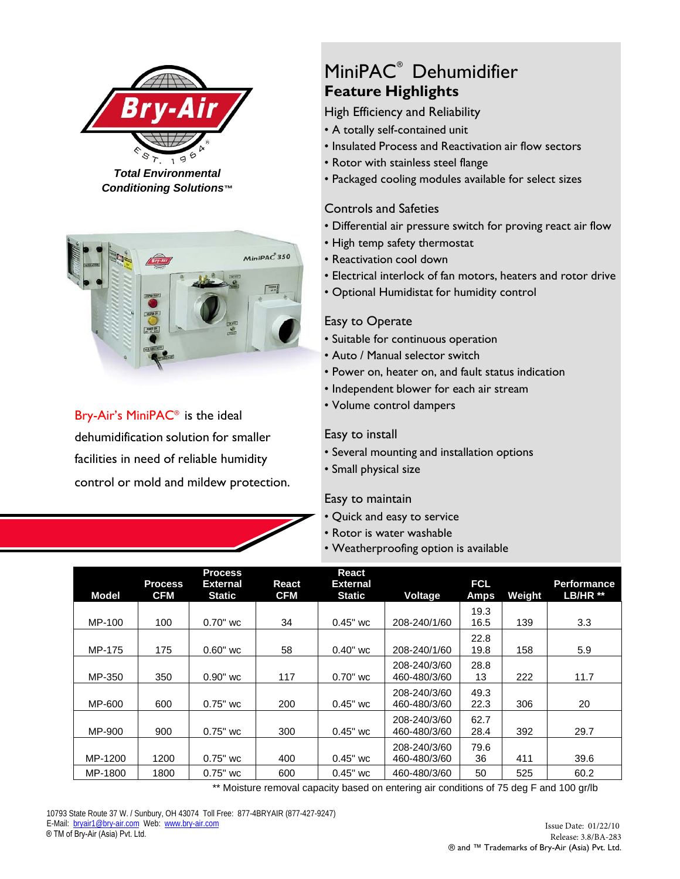

*Total Environmental Conditioning Solutions™*



Bry-Air's MiniPAC® is the ideal dehumidification solution for smaller facilities in need of reliable humidity control or mold and mildew protection.

# MiniPAC<sup>®</sup> Dehumidifier **Feature Highlights**

High Efficiency and Reliability

- A totally self-contained unit
- Insulated Process and Reactivation air flow sectors
- Rotor with stainless steel flange
- Packaged cooling modules available for select sizes

## Controls and Safeties

- Differential air pressure switch for proving react air flow
- High temp safety thermostat
- Reactivation cool down
- Electrical interlock of fan motors, heaters and rotor drive
- Optional Humidistat for humidity control

## Easy to Operate

- Suitable for continuous operation
- Auto / Manual selector switch
- Power on, heater on, and fault status indication
- Independent blower for each air stream
- Volume control dampers

### Easy to install

- Several mounting and installation options
- Small physical size

### Easy to maintain

- Quick and easy to service
- Rotor is water washable
- Weatherproofing option is available

| <b>Model</b> | <b>Process</b><br><b>CFM</b> | <b>Process</b><br>External<br><b>Static</b> | React<br><b>CFM</b> | <b>React</b><br><b>External</b><br><b>Static</b> | Voltage                      | <b>FCL</b><br><b>Amps</b> | Weight | <b>Performance</b><br>LB/HR <sup>**</sup> |
|--------------|------------------------------|---------------------------------------------|---------------------|--------------------------------------------------|------------------------------|---------------------------|--------|-------------------------------------------|
| MP-100       | 100                          | $0.70"$ wc                                  | 34                  | $0.45"$ wc                                       | 208-240/1/60                 | 19.3<br>16.5              | 139    | 3.3                                       |
| MP-175       | 175                          | $0.60"$ wc                                  | 58                  | $0.40"$ wc                                       | 208-240/1/60                 | 22.8<br>19.8              | 158    | 5.9                                       |
| MP-350       | 350                          | $0.90"$ wc                                  | 117                 | $0.70"$ wc                                       | 208-240/3/60<br>460-480/3/60 | 28.8<br>13                | 222    | 11.7                                      |
| MP-600       | 600                          | $0.75"$ wc                                  | 200                 | $0.45"$ wc                                       | 208-240/3/60<br>460-480/3/60 | 49.3<br>22.3              | 306    | 20                                        |
| MP-900       | 900                          | $0.75"$ wc                                  | 300                 | $0.45"$ wc                                       | 208-240/3/60<br>460-480/3/60 | 62.7<br>28.4              | 392    | 29.7                                      |
| MP-1200      | 1200                         | $0.75"$ wc                                  | 400                 | $0.45"$ wc                                       | 208-240/3/60<br>460-480/3/60 | 79.6<br>36                | 411    | 39.6                                      |
| MP-1800      | 1800                         | $0.75"$ wc                                  | 600                 | $0.45"$ wc                                       | 460-480/3/60                 | 50                        | 525    | 60.2                                      |

\*\* Moisture removal capacity based on entering air conditions of 75 deg F and 100 gr/lb